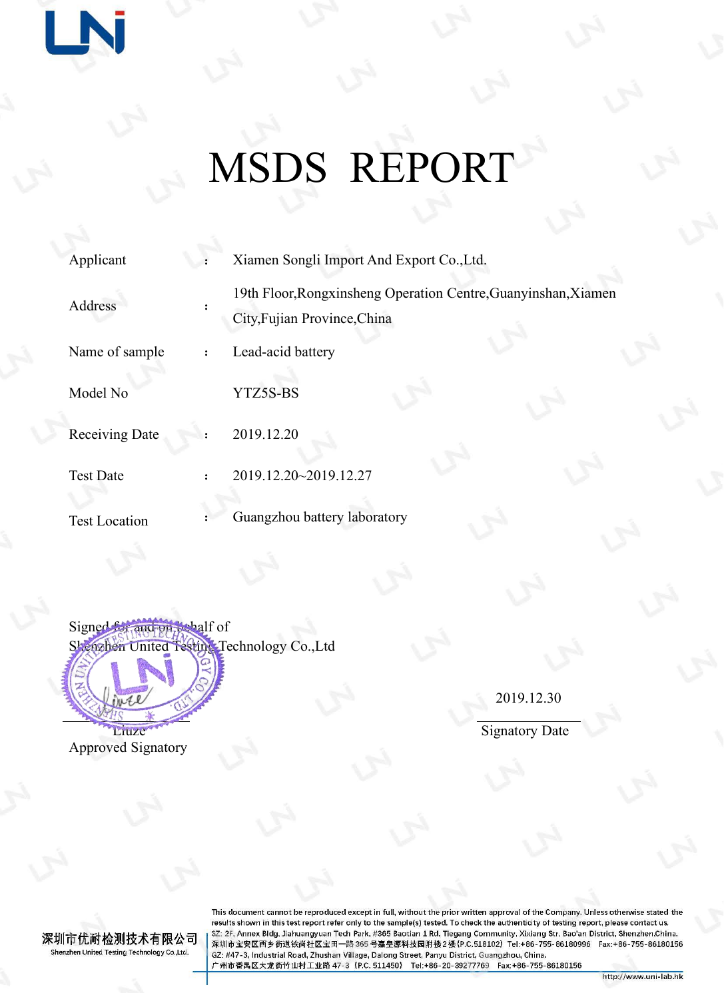# MSDS REPORT

| Applicant            | Xiamen Songli Import And Export Co., Ltd.                                                      |
|----------------------|------------------------------------------------------------------------------------------------|
| Address              | 19th Floor, Rongxinsheng Operation Centre, Guanyinshan, Xiamen<br>City, Fujian Province, China |
| Name of sample       | Lead-acid battery                                                                              |
| Model No             | YTZ5S-BS                                                                                       |
| Receiving Date       | 2019.12.20                                                                                     |
| <b>Test Date</b>     | 2019.12.20~2019.12.27                                                                          |
| <b>Test Location</b> | Guangzhou battery laboratory                                                                   |
|                      |                                                                                                |

Signed for and on behalf of Shenzhen United Testing Technology Co.,Ltd

Approved Signatory

**IN** 

2019.12.30

Liuze Signatory [Date](javascript:;)

深圳市优耐检测技术有限公司 Shenzhen United Testing Technology Co.,Ltd.

This document cannot be reproduced except in full, without the prior written approval of the Company. Unless otherwise stated the results shown in this test report refer only to the sample(s) tested. To check the authenticity of testing report, please contact us.<br>SZ: 2F, Annex Bldg, Jiahuangyuan Tech Park, #365 Baotian 1 Rd, Tiegang Community, Xixia GZ: #47-3, Industrial Road, Zhushan Village, Dalong Street, Panyu District, Guangzhou, China. 广州市番禺区大龙街竹山村工业路 47-3 (P.C. 511450) Tel:+86-20-39277769 Fax:+86-755-86180156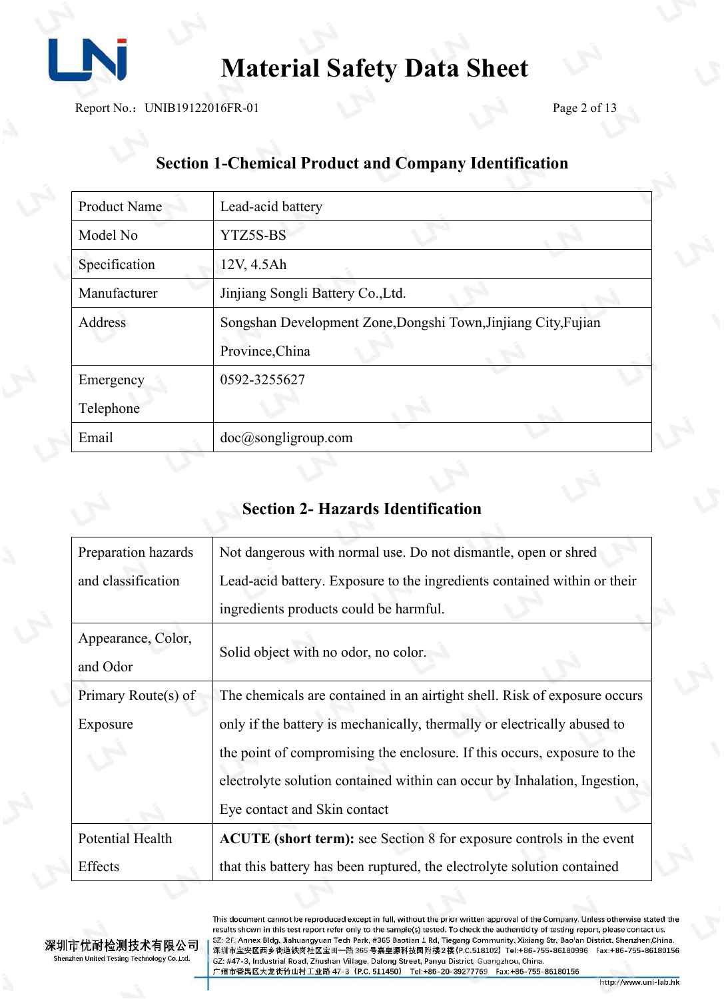

Report No.: UNIB19122016FR-01 Page 2 of 13

# **Section 1-Chemical Product and Company Identification**

| <b>Product Name</b> | Lead-acid battery                                                                 |  |
|---------------------|-----------------------------------------------------------------------------------|--|
| Model No            | YTZ5S-BS                                                                          |  |
| Specification       | 12V, 4.5Ah                                                                        |  |
| Manufacturer        | Jinjiang Songli Battery Co., Ltd.                                                 |  |
| Address             | Songshan Development Zone, Dongshi Town, Jinjiang City, Fujian<br>Province, China |  |
| Emergency           | 0592-3255627                                                                      |  |
| Telephone           |                                                                                   |  |
| Email               | doc@songligroup.com                                                               |  |

#### **Section 2- Hazards Identification**

| Preparation hazards | Not dangerous with normal use. Do not dismantle, open or shred            |  |
|---------------------|---------------------------------------------------------------------------|--|
| and classification  | Lead-acid battery. Exposure to the ingredients contained within or their  |  |
|                     | ingredients products could be harmful.                                    |  |
| Appearance, Color,  |                                                                           |  |
| and Odor            | Solid object with no odor, no color.                                      |  |
| Primary Route(s) of | The chemicals are contained in an airtight shell. Risk of exposure occurs |  |
| Exposure            | only if the battery is mechanically, thermally or electrically abused to  |  |
|                     | the point of compromising the enclosure. If this occurs, exposure to the  |  |
|                     | electrolyte solution contained within can occur by Inhalation, Ingestion, |  |
|                     | Eye contact and Skin contact                                              |  |
| Potential Health    | ACUTE (short term): see Section 8 for exposure controls in the event      |  |
| Effects             | that this battery has been ruptured, the electrolyte solution contained   |  |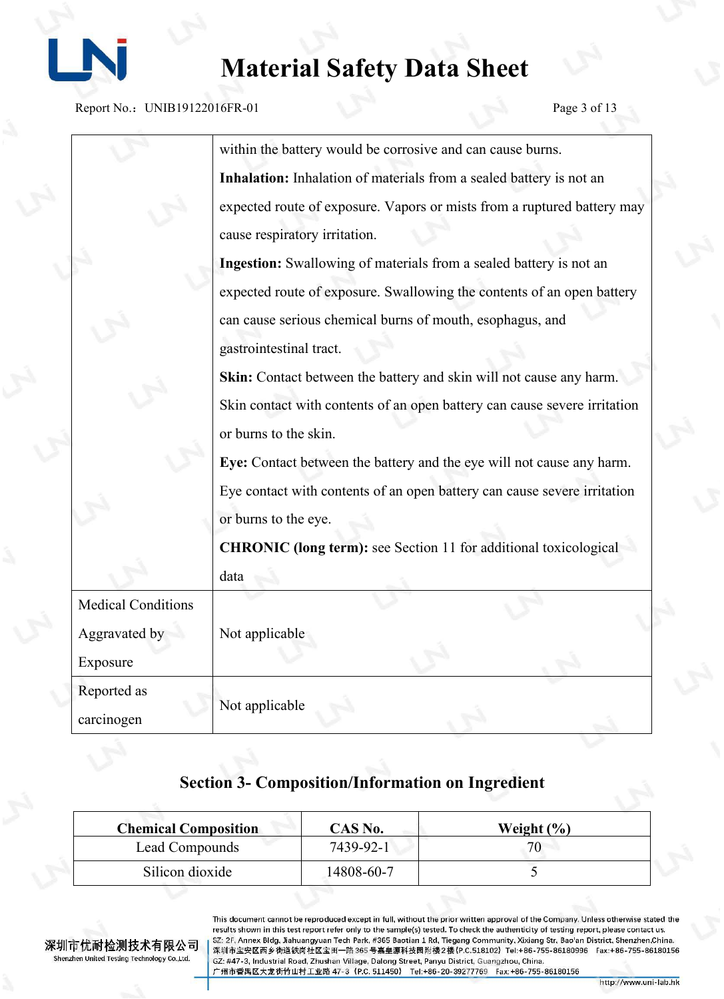

Report No.: UNIB19122016FR-01 Page 3 of 13

|                           | within the battery would be corrosive and can cause burns.                |
|---------------------------|---------------------------------------------------------------------------|
|                           | Inhalation: Inhalation of materials from a sealed battery is not an       |
|                           | expected route of exposure. Vapors or mists from a ruptured battery may   |
|                           | cause respiratory irritation.                                             |
|                           | Ingestion: Swallowing of materials from a sealed battery is not an        |
|                           | expected route of exposure. Swallowing the contents of an open battery    |
|                           | can cause serious chemical burns of mouth, esophagus, and                 |
|                           | gastrointestinal tract.                                                   |
|                           | Skin: Contact between the battery and skin will not cause any harm.       |
|                           | Skin contact with contents of an open battery can cause severe irritation |
|                           | or burns to the skin.                                                     |
|                           | Eye: Contact between the battery and the eye will not cause any harm.     |
|                           | Eye contact with contents of an open battery can cause severe irritation  |
|                           | or burns to the eye.                                                      |
|                           | <b>CHRONIC</b> (long term): see Section 11 for additional toxicological   |
|                           | data                                                                      |
| <b>Medical Conditions</b> |                                                                           |
| Aggravated by             | Not applicable                                                            |
| Exposure                  |                                                                           |
| Reported as               |                                                                           |
| carcinogen                | Not applicable                                                            |

#### **Section 3- Composition/Information on Ingredient**

| <b>Chemical Composition</b> | CAS No.    | Weight $(\% )$ |  |
|-----------------------------|------------|----------------|--|
| Lead Compounds              | 7439-92-1  | 70             |  |
| Silicon dioxide             | 14808-60-7 |                |  |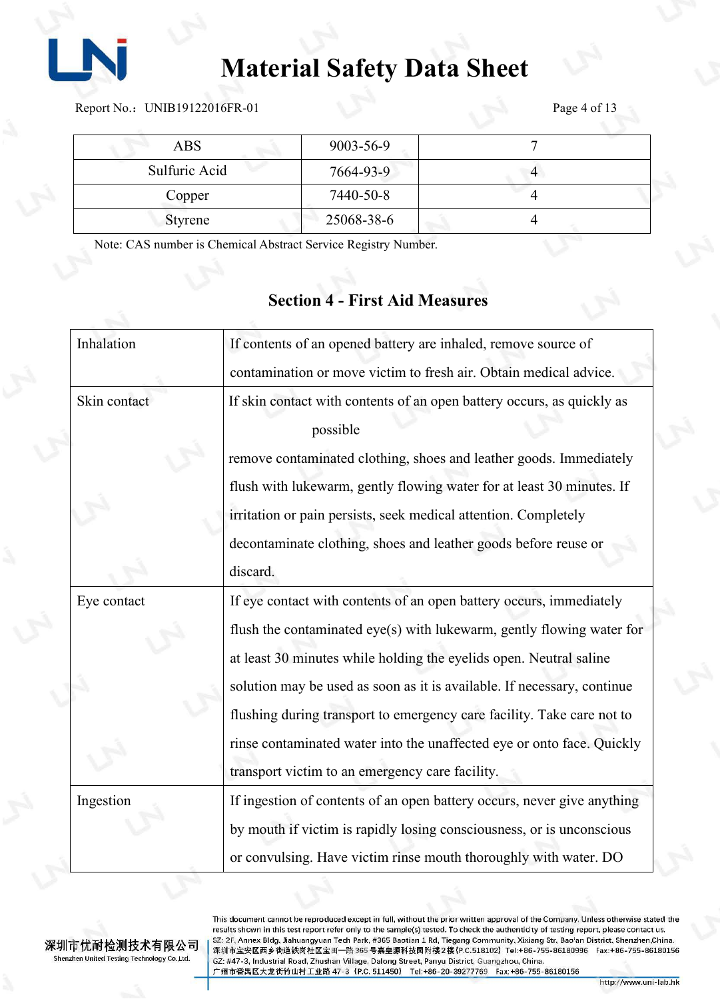

Report No.: UNIB19122016FR-01 Page 4 of 13

| <b>ABS</b>    | 9003-56-9  |  |
|---------------|------------|--|
| Sulfuric Acid | 7664-93-9  |  |
| Copper        | 7440-50-8  |  |
| Styrene       | 25068-38-6 |  |

Note: CAS number is Chemical Abstract Service Registry Number.

#### **Section 4 - First Aid Measures**

| Inhalation   | If contents of an opened battery are inhaled, remove source of          |
|--------------|-------------------------------------------------------------------------|
|              | contamination or move victim to fresh air. Obtain medical advice.       |
| Skin contact | If skin contact with contents of an open battery occurs, as quickly as  |
|              | possible                                                                |
|              | remove contaminated clothing, shoes and leather goods. Immediately      |
|              | flush with lukewarm, gently flowing water for at least 30 minutes. If   |
|              | irritation or pain persists, seek medical attention. Completely         |
|              | decontaminate clothing, shoes and leather goods before reuse or         |
|              | discard.                                                                |
| Eye contact  | If eye contact with contents of an open battery occurs, immediately     |
|              | flush the contaminated eye(s) with lukewarm, gently flowing water for   |
|              | at least 30 minutes while holding the eyelids open. Neutral saline      |
|              | solution may be used as soon as it is available. If necessary, continue |
|              | flushing during transport to emergency care facility. Take care not to  |
|              | rinse contaminated water into the unaffected eye or onto face. Quickly  |
|              | transport victim to an emergency care facility.                         |
| Ingestion    | If ingestion of contents of an open battery occurs, never give anything |
|              | by mouth if victim is rapidly losing consciousness, or is unconscious   |
|              | or convulsing. Have victim rinse mouth thoroughly with water. DO        |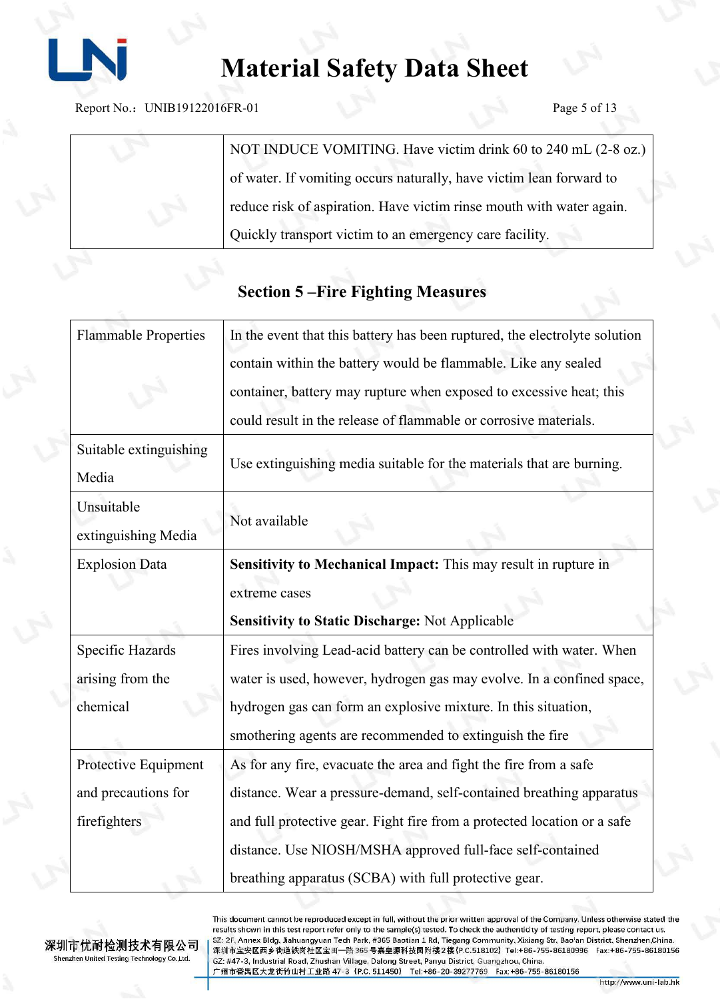

Report No.: UNIB19122016FR-01 Page 5 of 13

NOT INDUCE VOMITING. Have victim drink 60 to 240 mL (2-8 oz.) of water. If vomiting occurs naturally, have victim lean forward to reduce risk of aspiration. Have victim rinse mouth with water again. Quickly transport victim to an emergency care facility.

### **Section 5 –Fire Fighting Measures**

| <b>Flammable Properties</b> | In the event that this battery has been ruptured, the electrolyte solution |
|-----------------------------|----------------------------------------------------------------------------|
|                             | contain within the battery would be flammable. Like any sealed             |
|                             | container, battery may rupture when exposed to excessive heat; this        |
|                             | could result in the release of flammable or corrosive materials.           |
| Suitable extinguishing      |                                                                            |
| Media                       | Use extinguishing media suitable for the materials that are burning.       |
| Unsuitable                  |                                                                            |
| extinguishing Media         | Not available                                                              |
| <b>Explosion Data</b>       | Sensitivity to Mechanical Impact: This may result in rupture in            |
|                             | extreme cases                                                              |
|                             | <b>Sensitivity to Static Discharge: Not Applicable</b>                     |
| Specific Hazards            | Fires involving Lead-acid battery can be controlled with water. When       |
| arising from the            | water is used, however, hydrogen gas may evolve. In a confined space,      |
| chemical                    | hydrogen gas can form an explosive mixture. In this situation,             |
|                             | smothering agents are recommended to extinguish the fire                   |
| Protective Equipment        | As for any fire, evacuate the area and fight the fire from a safe          |
| and precautions for         | distance. Wear a pressure-demand, self-contained breathing apparatus       |
| firefighters                | and full protective gear. Fight fire from a protected location or a safe   |
|                             | distance. Use NIOSH/MSHA approved full-face self-contained                 |
|                             | breathing apparatus (SCBA) with full protective gear.                      |
|                             |                                                                            |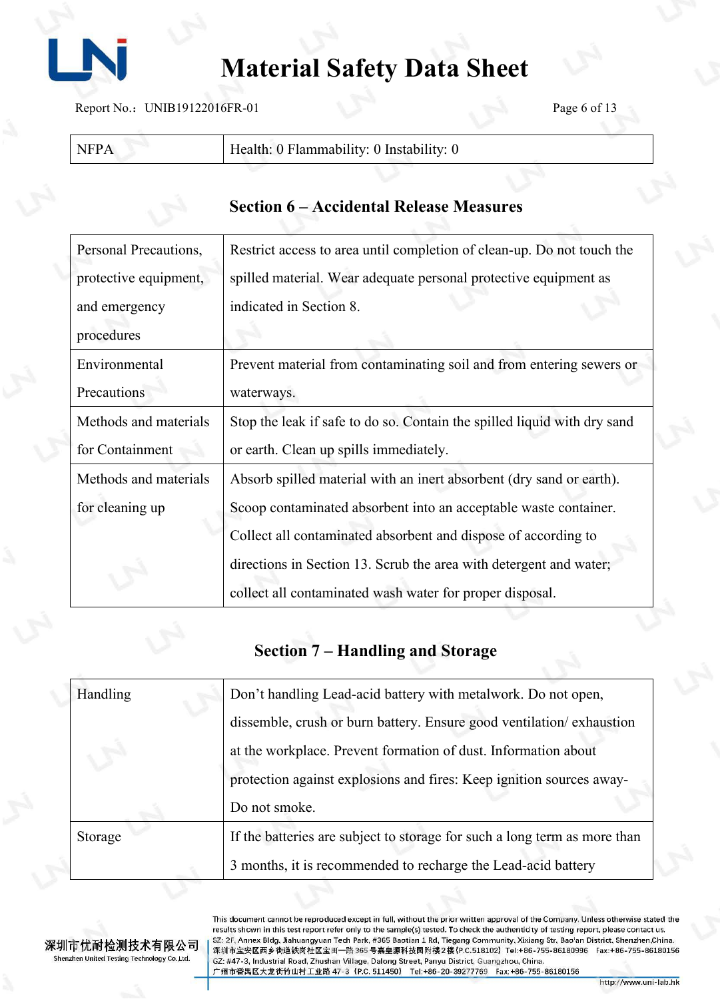

Report No.: UNIB19122016FR-01 Page 6 of 13

| Health: 0 Flammability: 0 Instability: |  |
|----------------------------------------|--|
|                                        |  |

| <b>Section 6 – Accidental Release Measures</b> |  |
|------------------------------------------------|--|
|------------------------------------------------|--|

| Personal Precautions, | Restrict access to area until completion of clean-up. Do not touch the   |  |
|-----------------------|--------------------------------------------------------------------------|--|
| protective equipment, | spilled material. Wear adequate personal protective equipment as         |  |
| and emergency         | indicated in Section 8.                                                  |  |
| procedures            |                                                                          |  |
| Environmental         | Prevent material from contaminating soil and from entering sewers or     |  |
| Precautions           | waterways.                                                               |  |
| Methods and materials | Stop the leak if safe to do so. Contain the spilled liquid with dry sand |  |
| for Containment       | or earth. Clean up spills immediately.                                   |  |
| Methods and materials | Absorb spilled material with an inert absorbent (dry sand or earth).     |  |
| for cleaning up       | Scoop contaminated absorbent into an acceptable waste container.         |  |
|                       | Collect all contaminated absorbent and dispose of according to           |  |
|                       | directions in Section 13. Scrub the area with detergent and water;       |  |
|                       | collect all contaminated wash water for proper disposal.                 |  |

### **Section 7 – Handling and Storage**

| Handling | Don't handling Lead-acid battery with metalwork. Do not open,             |  |
|----------|---------------------------------------------------------------------------|--|
|          | dissemble, crush or burn battery. Ensure good ventilation/exhaustion      |  |
|          | at the workplace. Prevent formation of dust. Information about            |  |
|          | protection against explosions and fires: Keep ignition sources away-      |  |
|          | Do not smoke.                                                             |  |
| Storage  | If the batteries are subject to storage for such a long term as more than |  |
|          | 3 months, it is recommended to recharge the Lead-acid battery             |  |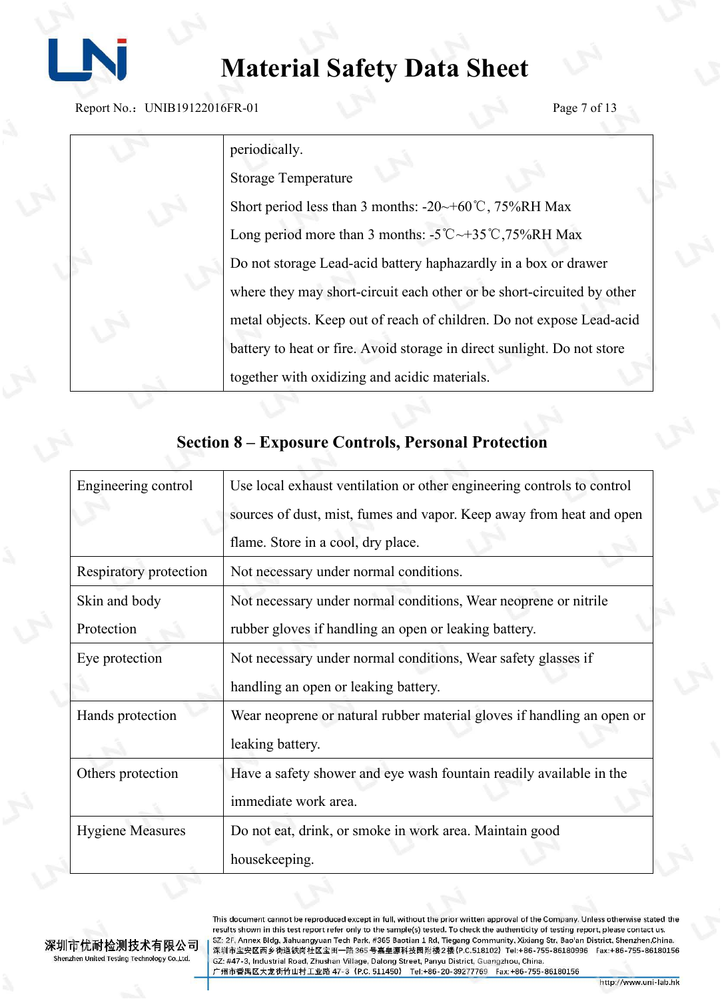

Report No.: UNIB19122016FR-01 Page 7 of 13

| periodically.                                                                                    |  |
|--------------------------------------------------------------------------------------------------|--|
| <b>Storage Temperature</b>                                                                       |  |
| Short period less than 3 months: $-20 \rightarrow +60^{\circ}$ C, 75%RH Max                      |  |
| Long period more than 3 months: $-5^{\circ}\text{C} \rightarrow +35^{\circ}\text{C}$ , 75%RH Max |  |
| Do not storage Lead-acid battery haphazardly in a box or drawer                                  |  |
| where they may short-circuit each other or be short-circuited by other                           |  |
| metal objects. Keep out of reach of children. Do not expose Lead-acid                            |  |
| battery to heat or fire. Avoid storage in direct sunlight. Do not store                          |  |
| together with oxidizing and acidic materials.                                                    |  |

| Engineering control     | Use local exhaust ventilation or other engineering controls to control                      |  |
|-------------------------|---------------------------------------------------------------------------------------------|--|
|                         | sources of dust, mist, fumes and vapor. Keep away from heat and open                        |  |
|                         | flame. Store in a cool, dry place.                                                          |  |
| Respiratory protection  | Not necessary under normal conditions.                                                      |  |
| Skin and body           | Not necessary under normal conditions, Wear neoprene or nitrile                             |  |
| Protection              | rubber gloves if handling an open or leaking battery.                                       |  |
| Eye protection          | Not necessary under normal conditions, Wear safety glasses if                               |  |
|                         | handling an open or leaking battery.                                                        |  |
| Hands protection        | Wear neoprene or natural rubber material gloves if handling an open or                      |  |
|                         | leaking battery.                                                                            |  |
| Others protection       | Have a safety shower and eye wash fountain readily available in the<br>immediate work area. |  |
| <b>Hygiene Measures</b> | Do not eat, drink, or smoke in work area. Maintain good                                     |  |
|                         | housekeeping.                                                                               |  |

### **Section 8 – Exposure Controls, Personal Protection**

深圳市优耐检测技术有限公司 Shenzhen United Testing Technology Co.,Ltd.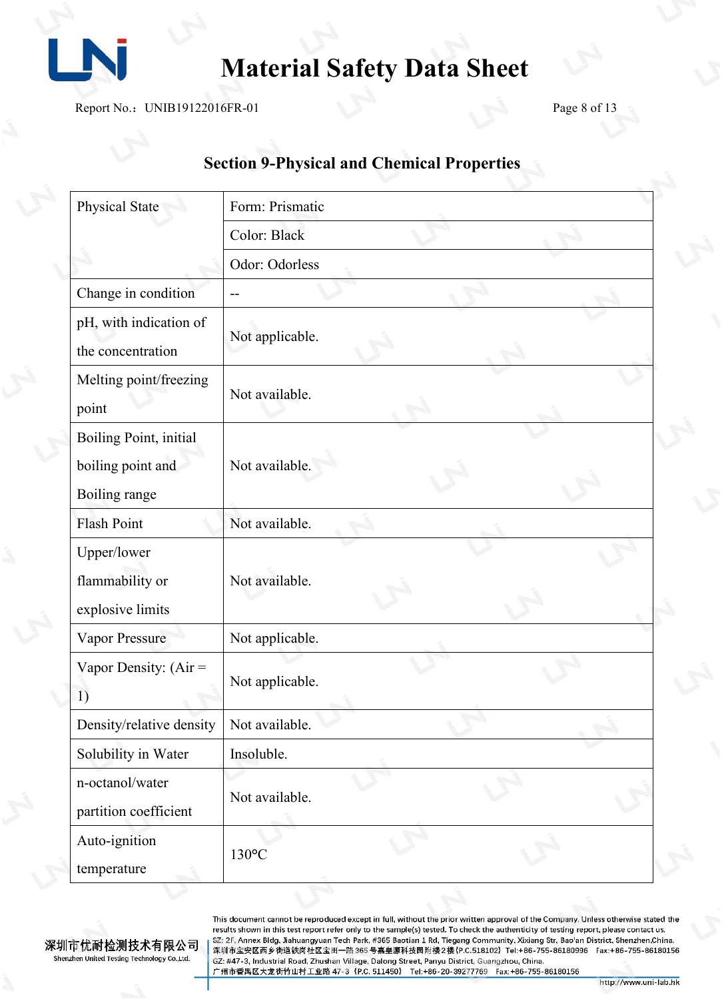

Report No.: UNIB19122016FR-01 Page 8 of 13

## **Section 9-Physical and Chemical Properties**

| Physical State                                               | Form: Prismatic |  |  |
|--------------------------------------------------------------|-----------------|--|--|
|                                                              | Color: Black    |  |  |
|                                                              | Odor: Odorless  |  |  |
| Change in condition                                          |                 |  |  |
| pH, with indication of<br>the concentration                  | Not applicable. |  |  |
| Melting point/freezing<br>point                              | Not available.  |  |  |
| Boiling Point, initial<br>boiling point and<br>Boiling range | Not available.  |  |  |
| <b>Flash Point</b>                                           | Not available.  |  |  |
| Upper/lower<br>flammability or<br>explosive limits           | Not available.  |  |  |
| <b>Vapor Pressure</b>                                        | Not applicable. |  |  |
| Vapor Density: $(Air =$<br>1)                                | Not applicable. |  |  |
| Density/relative density                                     | Not available.  |  |  |
| Solubility in Water                                          | Insoluble.      |  |  |
| n-octanol/water<br>partition coefficient                     | Not available.  |  |  |
| Auto-ignition<br>temperature                                 | 130°C           |  |  |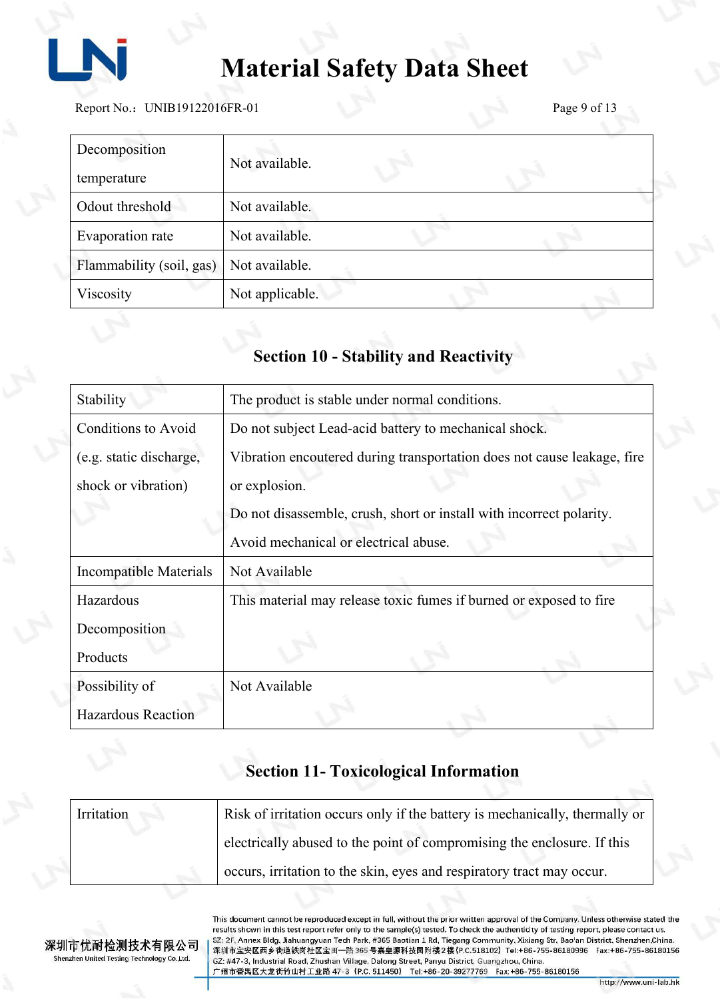

Report No.: UNIB19122016FR-01 Page 9 of 13

| Decomposition            | Not available.  |  |
|--------------------------|-----------------|--|
| temperature              |                 |  |
| Odout threshold          | Not available.  |  |
| Evaporation rate         | Not available.  |  |
| Flammability (soil, gas) | Not available.  |  |
| Viscosity                | Not applicable. |  |

## **Section 10 - Stability and Reactivity**

| Stability                  | The product is stable under normal conditions.                          |  |
|----------------------------|-------------------------------------------------------------------------|--|
| <b>Conditions to Avoid</b> | Do not subject Lead-acid battery to mechanical shock.                   |  |
| (e.g. static discharge,    | Vibration encoutered during transportation does not cause leakage, fire |  |
| shock or vibration)        | or explosion.                                                           |  |
|                            | Do not disassemble, crush, short or install with incorrect polarity.    |  |
|                            | Avoid mechanical or electrical abuse.                                   |  |
| Incompatible Materials     | Not Available                                                           |  |
| Hazardous                  | This material may release toxic fumes if burned or exposed to fire      |  |
| Decomposition              |                                                                         |  |
| Products                   |                                                                         |  |
| Possibility of             | Not Available                                                           |  |
| <b>Hazardous Reaction</b>  |                                                                         |  |

# **Section 11- Toxicological Information**

| Irritation | Risk of irritation occurs only if the battery is mechanically, thermally or |
|------------|-----------------------------------------------------------------------------|
|            | electrically abused to the point of compromising the enclosure. If this     |
|            | occurs, irritation to the skin, eyes and respiratory tract may occur.       |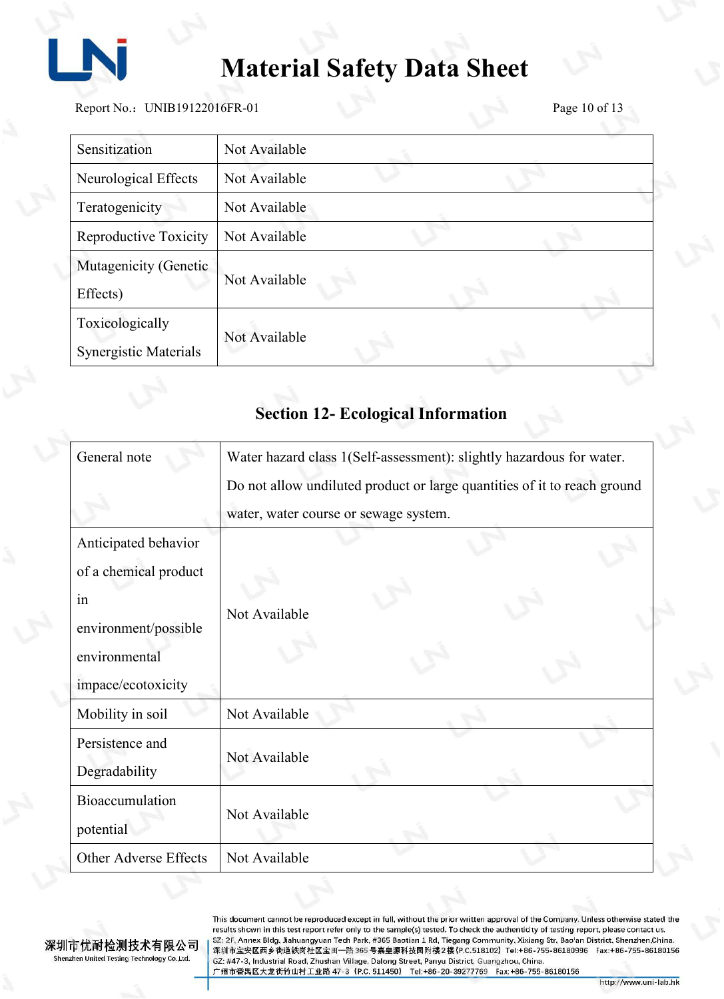

Report No.: UNIB19122016FR-01 Page 10 of 13

| Sensitization                            | Not Available |  |  |
|------------------------------------------|---------------|--|--|
| Neurological Effects                     | Not Available |  |  |
| Teratogenicity                           | Not Available |  |  |
| Reproductive Toxicity                    | Not Available |  |  |
| Mutagenicity (Genetic<br>Effects)        | Not Available |  |  |
| Toxicologically<br>Synergistic Materials | Not Available |  |  |

## **Section 12- Ecological Information**

| General note          | Water hazard class 1(Self-assessment): slightly hazardous for water.     |  |  |
|-----------------------|--------------------------------------------------------------------------|--|--|
|                       | Do not allow undiluted product or large quantities of it to reach ground |  |  |
|                       | water, water course or sewage system.                                    |  |  |
| Anticipated behavior  |                                                                          |  |  |
| of a chemical product |                                                                          |  |  |
| in                    |                                                                          |  |  |
| environment/possible  | Not Available                                                            |  |  |
| environmental         |                                                                          |  |  |
| impace/ecotoxicity    |                                                                          |  |  |
| Mobility in soil      | Not Available                                                            |  |  |
| Persistence and       |                                                                          |  |  |
| Degradability         | Not Available                                                            |  |  |
| Bioaccumulation       |                                                                          |  |  |
| potential             | Not Available                                                            |  |  |
| Other Adverse Effects | Not Available                                                            |  |  |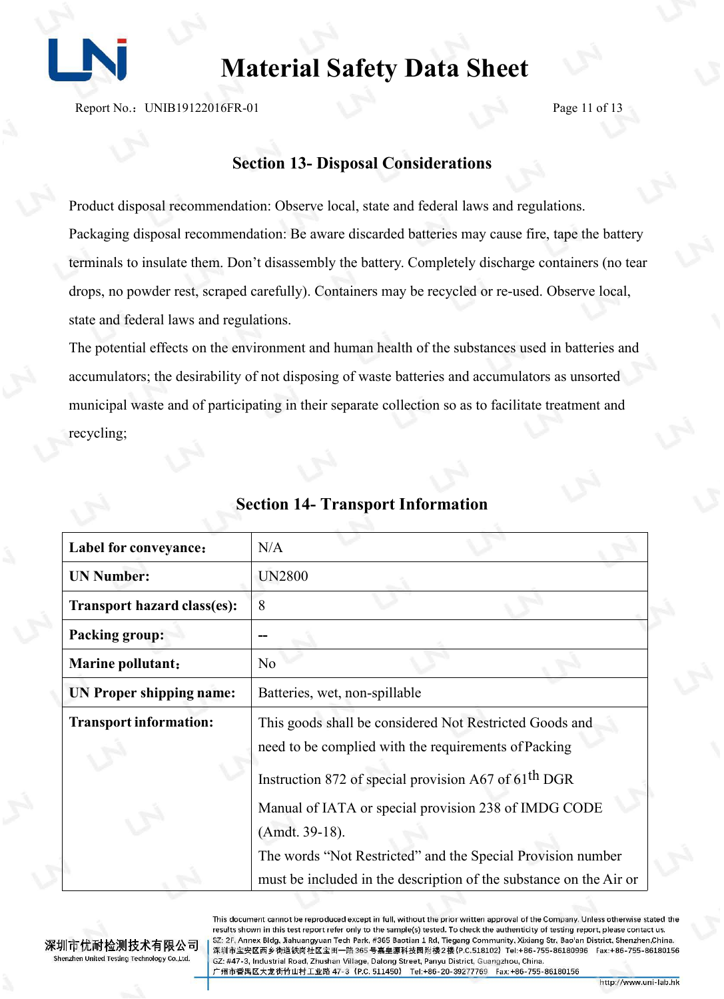

Report No.: UNIB19122016FR-01 Page 11 of 13

#### **Section 13- Disposal Considerations**

Product disposal recommendation: Observe local, state and federal laws and regulations. Packaging disposal recommendation: Be aware discarded batteries may cause fire, tape the battery terminals to insulate them. Don't disassembly the battery.Completely discharge containers (no tear drops, no powder rest, scraped carefully). Containers may be recycled or re-used. Observe local, state and federal laws and regulations.

The potential effects on the environment and human health of the substances used in batteries and accumulators; the desirability of not disposing of waste batteries and accumulators as unsorted municipal waste and of participating in their separate collection so as to facilitate treatment and recycling;

| Label for conveyance:              | N/A                                                                                                                                                                                                       |  |
|------------------------------------|-----------------------------------------------------------------------------------------------------------------------------------------------------------------------------------------------------------|--|
| <b>UN Number:</b>                  | <b>UN2800</b>                                                                                                                                                                                             |  |
| <b>Transport hazard class(es):</b> | 8                                                                                                                                                                                                         |  |
| <b>Packing group:</b>              |                                                                                                                                                                                                           |  |
| <b>Marine pollutant:</b>           | N <sub>o</sub>                                                                                                                                                                                            |  |
| UN Proper shipping name:           | Batteries, wet, non-spillable                                                                                                                                                                             |  |
| <b>Transport information:</b>      | This goods shall be considered Not Restricted Goods and<br>need to be complied with the requirements of Packing                                                                                           |  |
|                                    | Instruction 872 of special provision A67 of 61 <sup>th</sup> DGR<br>Manual of IATA or special provision 238 of IMDG CODE<br>(Amdt. 39-18).<br>The words "Not Restricted" and the Special Provision number |  |
|                                    | must be included in the description of the substance on the Air or                                                                                                                                        |  |

#### **Section 14- Transport Information**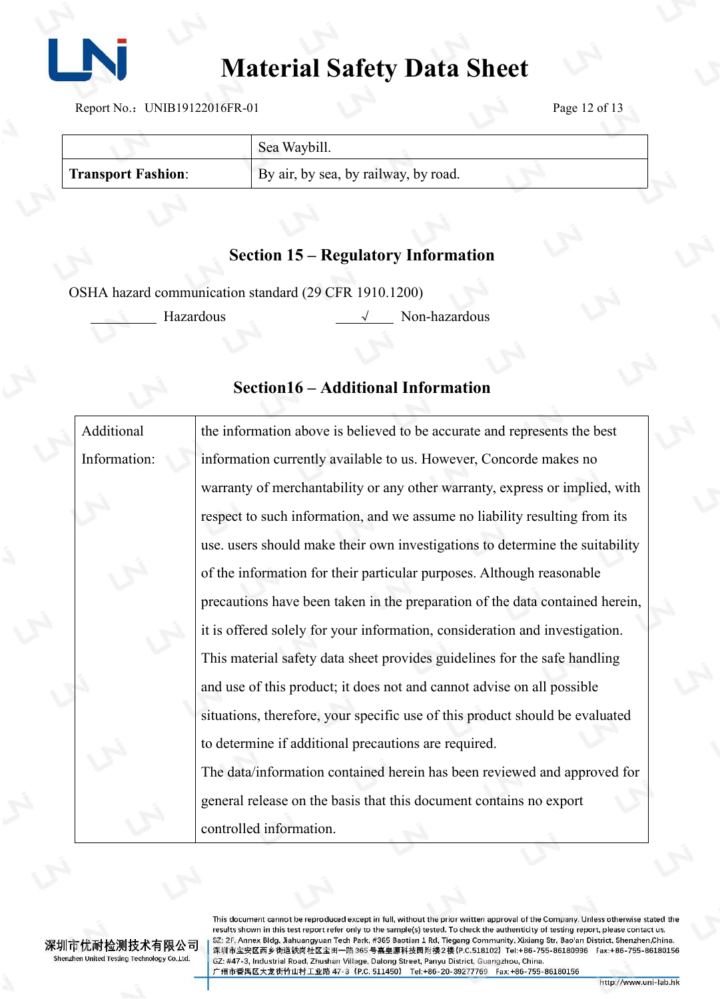

Report No.: UNIB19122016FR-01 Page 12 of 13

|                    | Sea Waybill.                         |
|--------------------|--------------------------------------|
| Transport Fashion: | By air, by sea, by railway, by road. |

#### **Section 15 – Regulatory Information**

OSHA hazard communication standard (29 CFR 1910.1200)

Hazardous √ Non-hazardous

#### **Section16 – Additional Information**

Additional Information: the information above is believed to be accurate and represents the best information currently available to us. However, Concorde makes no warranty of merchantability or any other warranty, express or implied, with respect to such information, and we assume no liability resulting from its use. users should make their own investigations to determine the suitability of the information for their particular purposes. Although reasonable precautions have been taken in the preparation of the data contained herein, it is offered solely for your information, consideration and investigation. This material safety data sheet provides guidelines for the safe handling and use of this product; it does not and cannot advise on all possible situations, therefore, your specific use of this product should be evaluated to determine if additional precautions are required. The data/information contained herein has been reviewed and approved for general release on the basis that this document contains no export controlled information.

深圳市优耐检测技术有限公司 Shenzhen United Testing Technology Co.,Ltd.